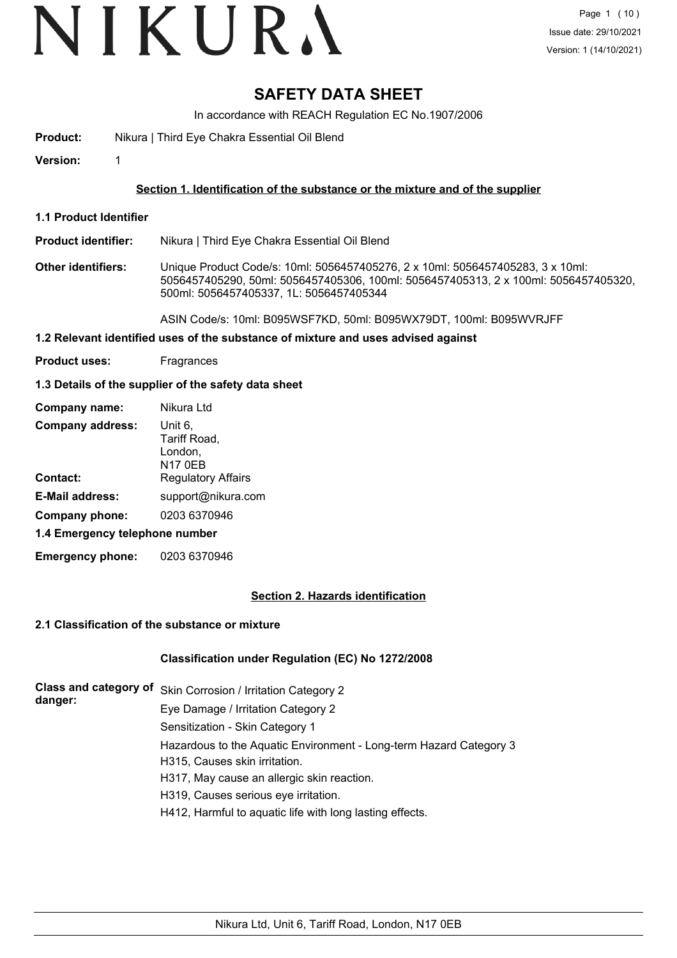# VIKURA

# **SAFETY DATA SHEET**

In accordance with REACH Regulation EC No.1907/2006

**Product:** Nikura | Third Eye Chakra Essential Oil Blend

**Version:** 1

## **Section 1. Identification of the substance or the mixture and of the supplier**

**1.1 Product Identifier**

**Product identifier:** Nikura | Third Eye Chakra Essential Oil Blend

**Other identifiers:** Unique Product Code/s: 10ml: 5056457405276, 2 x 10ml: 5056457405283, 3 x 10ml: 5056457405290, 50ml: 5056457405306, 100ml: 5056457405313, 2 x 100ml: 5056457405320, 500ml: 5056457405337, 1L: 5056457405344

ASIN Code/s: 10ml: B095WSF7KD, 50ml: B095WX79DT, 100ml: B095WVRJFF

- **1.2 Relevant identified uses of the substance of mixture and uses advised against**
- **Product uses:** Fragrances

## **1.3 Details of the supplier of the safety data sheet**

| Company name:                  | Nikura Ltd                                           |
|--------------------------------|------------------------------------------------------|
| <b>Company address:</b>        | Unit 6,<br>Tariff Road,<br>London,<br><b>N17 0EB</b> |
| Contact:                       | <b>Regulatory Affairs</b>                            |
| <b>E-Mail address:</b>         | support@nikura.com                                   |
| Company phone:                 | 0203 6370946                                         |
| 1.4 Emergency telephone number |                                                      |
|                                |                                                      |

**Emergency phone:** 0203 6370946

## **Section 2. Hazards identification**

## **2.1 Classification of the substance or mixture**

## **Classification under Regulation (EC) No 1272/2008**

| danger: | Class and category of Skin Corrosion / Irritation Category 2       |  |  |  |
|---------|--------------------------------------------------------------------|--|--|--|
|         | Eye Damage / Irritation Category 2                                 |  |  |  |
|         | Sensitization - Skin Category 1                                    |  |  |  |
|         | Hazardous to the Aquatic Environment - Long-term Hazard Category 3 |  |  |  |
|         | H315, Causes skin irritation.                                      |  |  |  |
|         | H317, May cause an allergic skin reaction.                         |  |  |  |
|         | H319, Causes serious eye irritation.                               |  |  |  |
|         | H412, Harmful to aquatic life with long lasting effects.           |  |  |  |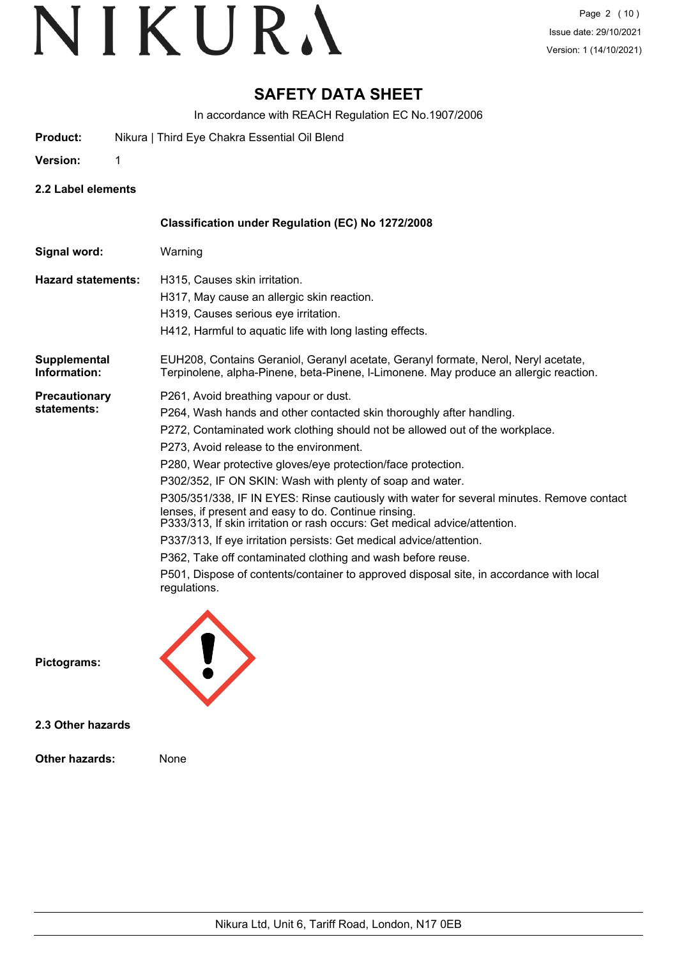# **SAFETY DATA SHEET**

In accordance with REACH Regulation EC No.1907/2006

**Product:** Nikura | Third Eye Chakra Essential Oil Blend

**Version:** 1

**2.2 Label elements**

|                                     | <b>Classification under Regulation (EC) No 1272/2008</b>                                                                                                                                                                        |
|-------------------------------------|---------------------------------------------------------------------------------------------------------------------------------------------------------------------------------------------------------------------------------|
| Signal word:                        | Warning                                                                                                                                                                                                                         |
| <b>Hazard statements:</b>           | H315, Causes skin irritation.                                                                                                                                                                                                   |
|                                     | H317, May cause an allergic skin reaction.                                                                                                                                                                                      |
|                                     | H319, Causes serious eye irritation.                                                                                                                                                                                            |
|                                     | H412, Harmful to aquatic life with long lasting effects.                                                                                                                                                                        |
| <b>Supplemental</b><br>Information: | EUH208, Contains Geraniol, Geranyl acetate, Geranyl formate, Nerol, Neryl acetate,<br>Terpinolene, alpha-Pinene, beta-Pinene, I-Limonene. May produce an allergic reaction.                                                     |
| <b>Precautionary</b><br>statements: | P261, Avoid breathing vapour or dust.                                                                                                                                                                                           |
|                                     | P264, Wash hands and other contacted skin thoroughly after handling.                                                                                                                                                            |
|                                     | P272, Contaminated work clothing should not be allowed out of the workplace.                                                                                                                                                    |
|                                     | P273, Avoid release to the environment.                                                                                                                                                                                         |
|                                     | P280, Wear protective gloves/eye protection/face protection.                                                                                                                                                                    |
|                                     | P302/352, IF ON SKIN: Wash with plenty of soap and water.                                                                                                                                                                       |
|                                     | P305/351/338, IF IN EYES: Rinse cautiously with water for several minutes. Remove contact<br>lenses, if present and easy to do. Continue rinsing.<br>P333/313, If skin irritation or rash occurs: Get medical advice/attention. |
|                                     | P337/313, If eye irritation persists: Get medical advice/attention.                                                                                                                                                             |
|                                     |                                                                                                                                                                                                                                 |
|                                     | P362, Take off contaminated clothing and wash before reuse.                                                                                                                                                                     |
|                                     | P501, Dispose of contents/container to approved disposal site, in accordance with local<br>regulations.                                                                                                                         |
|                                     |                                                                                                                                                                                                                                 |

**Pictograms:**



**2.3 Other hazards**

**Other hazards:** None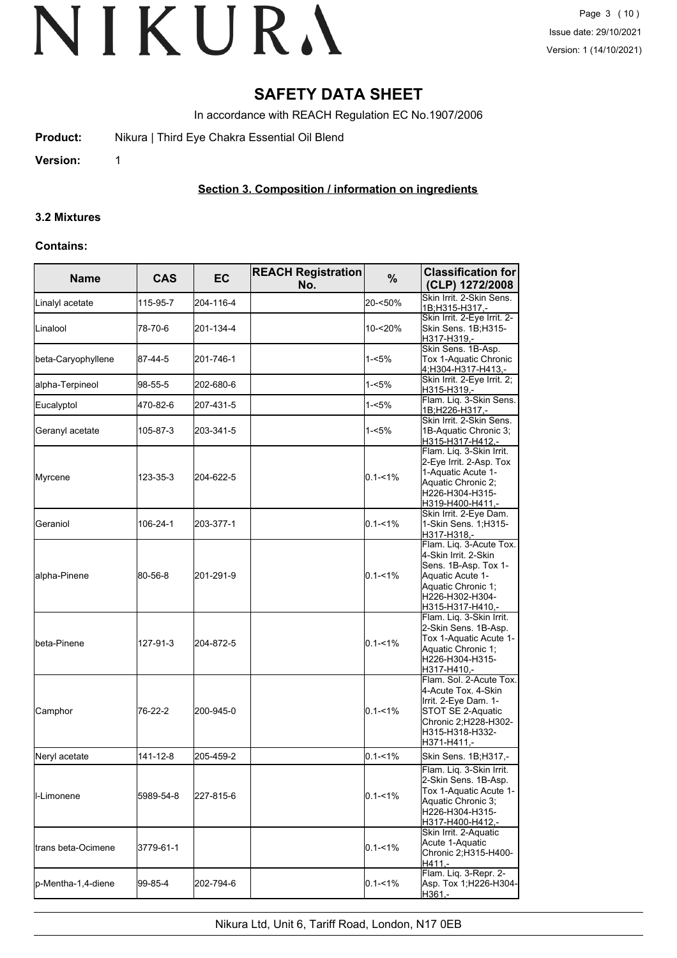## **SAFETY DATA SHEET**

In accordance with REACH Regulation EC No.1907/2006

**Product:** Nikura | Third Eye Chakra Essential Oil Blend

**Version:** 1

## **Section 3. Composition / information on ingredients**

#### **3.2 Mixtures**

#### **Contains:**

| <b>Name</b>         | <b>CAS</b> | <b>EC</b> | <b>REACH Registration</b><br>No. | %           | <b>Classification for</b><br>(CLP) 1272/2008                                                                                                             |
|---------------------|------------|-----------|----------------------------------|-------------|----------------------------------------------------------------------------------------------------------------------------------------------------------|
| Linalyl acetate     | 115-95-7   | 204-116-4 |                                  | 20-<50%     | Skin Irrit. 2-Skin Sens.<br>1B;H315-H317 -                                                                                                               |
| Linalool            | 78-70-6    | 201-134-4 |                                  | 10-<20%     | Skin Irrit. 2-Eye Irrit. 2-<br>Skin Sens. 1B;H315-<br>H317-H319,-                                                                                        |
| beta-Caryophyllene  | 87-44-5    | 201-746-1 |                                  | 1-<5%       | Skin Sens. 1B-Asp.<br>Tox 1-Aquatic Chronic<br>4;H304-H317-H413,-                                                                                        |
| alpha-Terpineol     | 98-55-5    | 202-680-6 |                                  | $1 - 5%$    | Skin Irrit. 2-Eye Irrit. 2;<br>H315-H319,-                                                                                                               |
| Eucalyptol          | 470-82-6   | 207-431-5 |                                  | 1-<5%       | Flam. Liq. 3-Skin Sens.<br>1B;H226-H317 -                                                                                                                |
| Geranyl acetate     | 105-87-3   | 203-341-5 |                                  | 1-<5%       | Skin Irrit, 2-Skin Sens.<br>1B-Aquatic Chronic 3;<br>H315-H317-H412,-                                                                                    |
| Myrcene             | 123-35-3   | 204-622-5 |                                  | $0.1 - 1\%$ | Flam. Liq. 3-Skin Irrit.<br>2-Eye Irrit. 2-Asp. Tox<br>1-Aquatic Acute 1-<br>Aquatic Chronic 2;<br>H226-H304-H315-<br>H319-H400-H411,-                   |
| Geraniol            | 106-24-1   | 203-377-1 |                                  | $0.1 - 1\%$ | Skin Irrit. 2-Eye Dam.<br>1-Skin Sens. 1; H315-<br>H317-H318,-                                                                                           |
| alpha-Pinene        | 80-56-8    | 201-291-9 |                                  | $0.1 - 1\%$ | Flam. Liq. 3-Acute Tox.<br>4-Skin Irrit. 2-Skin<br>Sens. 1B-Asp. Tox 1-<br>Aquatic Acute 1-<br>Aquatic Chronic 1;<br>H226-H302-H304-<br>H315-H317-H410,- |
| lbeta-Pinene        | 127-91-3   | 204-872-5 |                                  | $0.1 - 1\%$ | Flam. Liq. 3-Skin Irrit.<br>2-Skin Sens. 1B-Asp.<br>Tox 1-Aquatic Acute 1-<br>Aquatic Chronic 1;<br>H226-H304-H315-<br>H317-H410,-                       |
| Camphor             | 76-22-2    | 200-945-0 |                                  | $0.1 - 1\%$ | Flam. Sol. 2-Acute Tox.<br>4-Acute Tox. 4-Skin<br>Irrit. 2-Eye Dam. 1-<br>STOT SE 2-Aquatic<br>Chronic 2; H228-H302-<br>H315-H318-H332-<br>H371-H411,-   |
| Neryl acetate       | 141-12-8   | 205-459-2 |                                  | $0.1 - 1\%$ | Skin Sens. 1B; H317,-                                                                                                                                    |
| <b>I</b> I-Limonene | 5989-54-8  | 227-815-6 |                                  | $0.1 - 1\%$ | Flam. Liq. 3-Skin Irrit.<br>2-Skin Sens. 1B-Asp.<br>Tox 1-Aquatic Acute 1-<br>Aquatic Chronic 3;<br>H226-H304-H315-<br>H317-H400-H412,-                  |
| ltrans beta-Ocimene | 3779-61-1  |           |                                  | $0.1 - 1\%$ | Skin Irrit. 2-Aquatic<br>Acute 1-Aquatic<br>Chronic 2;H315-H400-<br>H411.-                                                                               |
| p-Mentha-1,4-diene  | 99-85-4    | 202-794-6 |                                  | $0.1 - 1\%$ | Flam. Liq. 3-Repr. 2-<br>Asp. Tox 1;H226-H304-<br>H361,-                                                                                                 |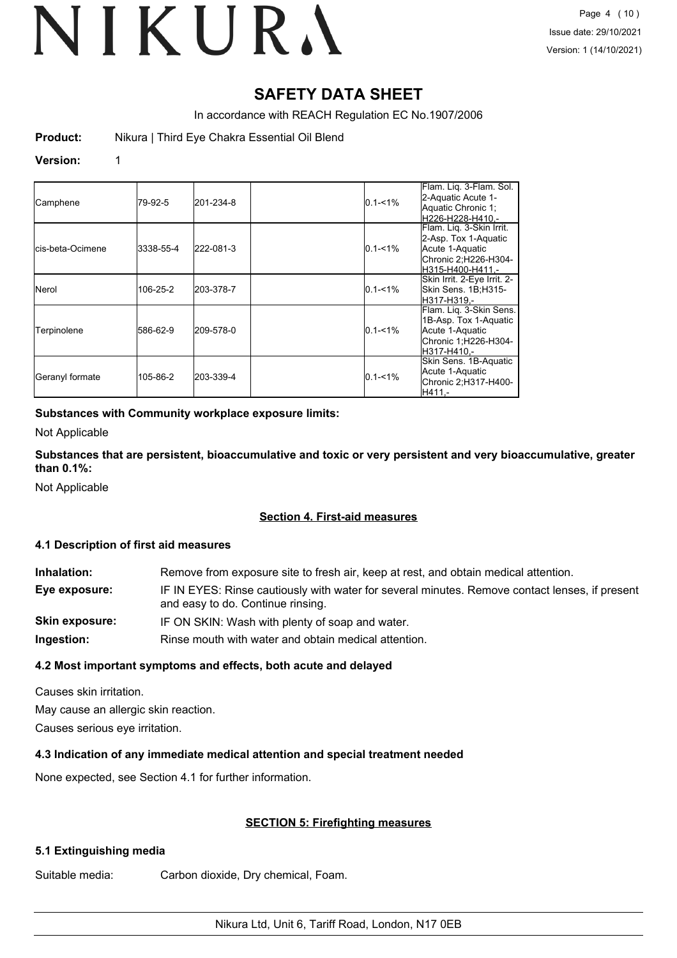## **SAFETY DATA SHEET**

In accordance with REACH Regulation EC No.1907/2006

**Product:** Nikura | Third Eye Chakra Essential Oil Blend

#### **Version:** 1

| Camphene                  | 79-92-5   | 201-234-8 | $0.1 - 1\%$ | Flam. Lig. 3-Flam. Sol.<br>2-Aquatic Acute 1-<br>Aquatic Chronic 1;<br>H226-H228-H410.-                         |
|---------------------------|-----------|-----------|-------------|-----------------------------------------------------------------------------------------------------------------|
| <b>I</b> cis-beta-Ocimene | 3338-55-4 | 222-081-3 | $0.1 - 1\%$ | Flam. Lig. 3-Skin Irrit.<br>2-Asp. Tox 1-Aquatic<br>Acute 1-Aquatic<br>Chronic 2;H226-H304-<br>H315-H400-H411.- |
| <b>Nerol</b>              | 106-25-2  | 203-378-7 | $0.1 - 1\%$ | Skin Irrit. 2-Eye Irrit. 2-<br>Skin Sens. 1B;H315-<br>lH317-H319.-                                              |
| Terpinolene               | 586-62-9  | 209-578-0 | $0.1 - 1\%$ | Flam. Liq. 3-Skin Sens.<br>1B-Asp. Tox 1-Aquatic<br>Acute 1-Aquatic<br>Chronic 1;H226-H304-<br>H317-H410.-      |
| Geranyl formate           | 105-86-2  | 203-339-4 | $0.1 - 1\%$ | Skin Sens. 1B-Aquatic<br>Acute 1-Aquatic<br>Chronic 2;H317-H400-<br>H411.-                                      |

## **Substances with Community workplace exposure limits:**

Not Applicable

**Substances that are persistent, bioaccumulative and toxic or very persistent and very bioaccumulative, greater than 0.1%:**

Not Applicable

## **Section 4. First-aid measures**

## **4.1 Description of first aid measures**

| Inhalation:    | Remove from exposure site to fresh air, keep at rest, and obtain medical attention.                                                 |
|----------------|-------------------------------------------------------------------------------------------------------------------------------------|
| Eye exposure:  | IF IN EYES: Rinse cautiously with water for several minutes. Remove contact lenses, if present<br>and easy to do. Continue rinsing. |
| Skin exposure: | IF ON SKIN: Wash with plenty of soap and water.                                                                                     |
| Ingestion:     | Rinse mouth with water and obtain medical attention.                                                                                |

## **4.2 Most important symptoms and effects, both acute and delayed**

Causes skin irritation.

May cause an allergic skin reaction.

Causes serious eye irritation.

## **4.3 Indication of any immediate medical attention and special treatment needed**

None expected, see Section 4.1 for further information.

## **SECTION 5: Firefighting measures**

## **5.1 Extinguishing media**

Suitable media: Carbon dioxide, Dry chemical, Foam.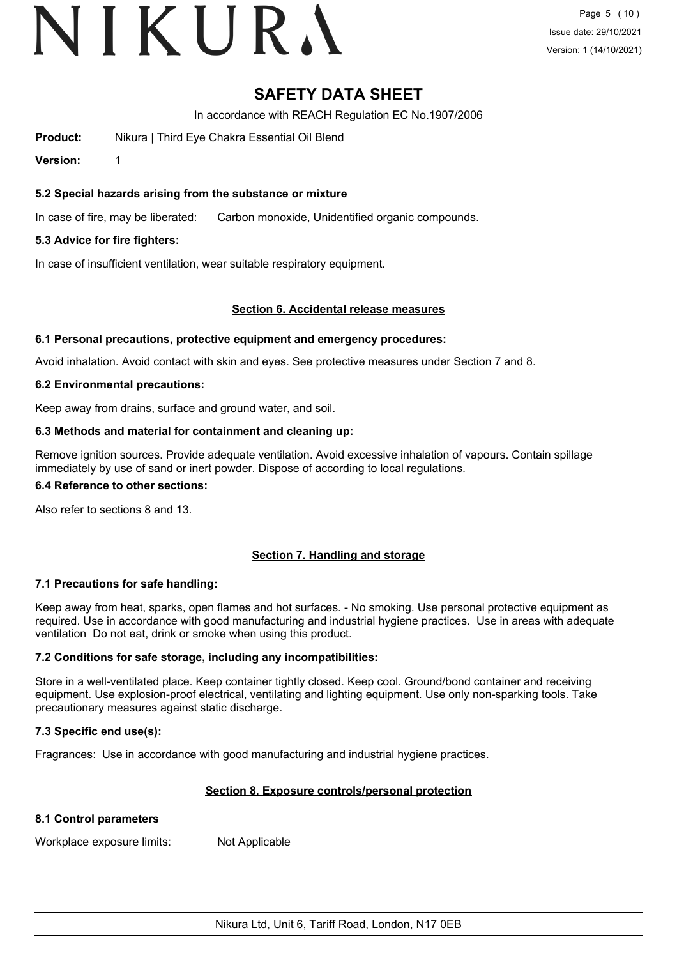# VIKURA

## **SAFETY DATA SHEET**

In accordance with REACH Regulation EC No.1907/2006

**Product:** Nikura | Third Eye Chakra Essential Oil Blend

**Version:** 1

## **5.2 Special hazards arising from the substance or mixture**

In case of fire, may be liberated: Carbon monoxide, Unidentified organic compounds.

## **5.3 Advice for fire fighters:**

In case of insufficient ventilation, wear suitable respiratory equipment.

## **Section 6. Accidental release measures**

#### **6.1 Personal precautions, protective equipment and emergency procedures:**

Avoid inhalation. Avoid contact with skin and eyes. See protective measures under Section 7 and 8.

## **6.2 Environmental precautions:**

Keep away from drains, surface and ground water, and soil.

## **6.3 Methods and material for containment and cleaning up:**

Remove ignition sources. Provide adequate ventilation. Avoid excessive inhalation of vapours. Contain spillage immediately by use of sand or inert powder. Dispose of according to local regulations.

#### **6.4 Reference to other sections:**

Also refer to sections 8 and 13.

## **Section 7. Handling and storage**

## **7.1 Precautions for safe handling:**

Keep away from heat, sparks, open flames and hot surfaces. - No smoking. Use personal protective equipment as required. Use in accordance with good manufacturing and industrial hygiene practices. Use in areas with adequate ventilation Do not eat, drink or smoke when using this product.

## **7.2 Conditions for safe storage, including any incompatibilities:**

Store in a well-ventilated place. Keep container tightly closed. Keep cool. Ground/bond container and receiving equipment. Use explosion-proof electrical, ventilating and lighting equipment. Use only non-sparking tools. Take precautionary measures against static discharge.

## **7.3 Specific end use(s):**

Fragrances: Use in accordance with good manufacturing and industrial hygiene practices.

## **Section 8. Exposure controls/personal protection**

## **8.1 Control parameters**

Workplace exposure limits: Not Applicable

Nikura Ltd, Unit 6, Tariff Road, London, N17 0EB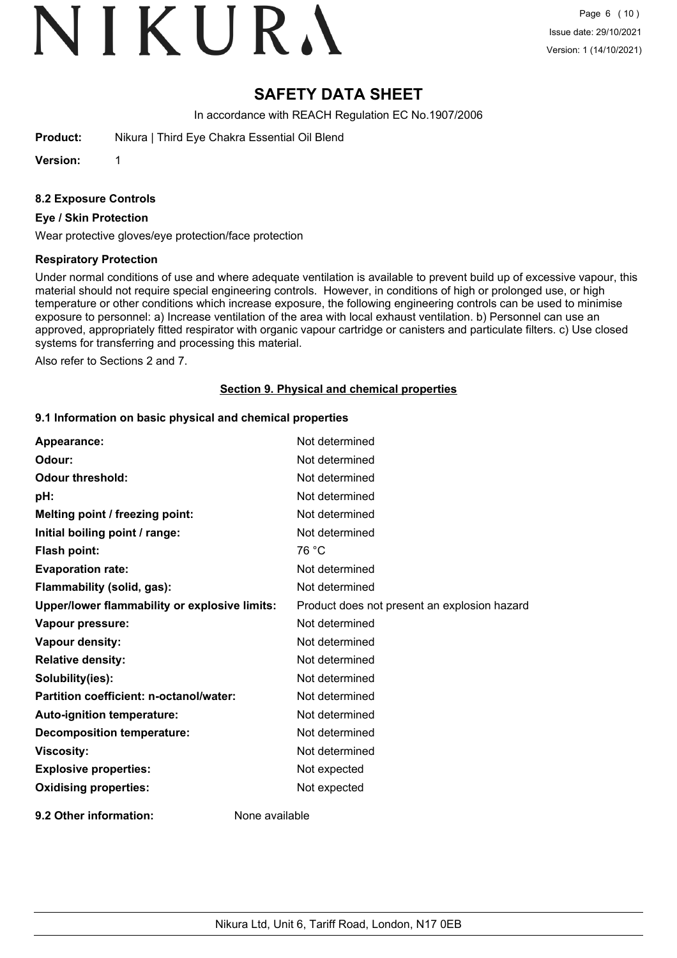# VIKURA

# **SAFETY DATA SHEET**

In accordance with REACH Regulation EC No.1907/2006

**Product:** Nikura | Third Eye Chakra Essential Oil Blend

**Version:** 1

## **8.2 Exposure Controls**

#### **Eye / Skin Protection**

Wear protective gloves/eye protection/face protection

#### **Respiratory Protection**

Under normal conditions of use and where adequate ventilation is available to prevent build up of excessive vapour, this material should not require special engineering controls. However, in conditions of high or prolonged use, or high temperature or other conditions which increase exposure, the following engineering controls can be used to minimise exposure to personnel: a) Increase ventilation of the area with local exhaust ventilation. b) Personnel can use an approved, appropriately fitted respirator with organic vapour cartridge or canisters and particulate filters. c) Use closed systems for transferring and processing this material.

Also refer to Sections 2 and 7.

## **Section 9. Physical and chemical properties**

#### **9.1 Information on basic physical and chemical properties**

| Appearance:                                   | Not determined                               |
|-----------------------------------------------|----------------------------------------------|
| Odour:                                        | Not determined                               |
| <b>Odour threshold:</b>                       | Not determined                               |
| pH:                                           | Not determined                               |
| Melting point / freezing point:               | Not determined                               |
| Initial boiling point / range:                | Not determined                               |
| Flash point:                                  | 76 °C                                        |
| <b>Evaporation rate:</b>                      | Not determined                               |
| Flammability (solid, gas):                    | Not determined                               |
| Upper/lower flammability or explosive limits: | Product does not present an explosion hazard |
| Vapour pressure:                              | Not determined                               |
| Vapour density:                               | Not determined                               |
| <b>Relative density:</b>                      | Not determined                               |
| Solubility(ies):                              | Not determined                               |
| Partition coefficient: n-octanol/water:       | Not determined                               |
| Auto-ignition temperature:                    | Not determined                               |
| <b>Decomposition temperature:</b>             | Not determined                               |
| <b>Viscosity:</b>                             | Not determined                               |
| <b>Explosive properties:</b>                  | Not expected                                 |
| <b>Oxidising properties:</b>                  | Not expected                                 |
| 9.2 Other information:                        | None available                               |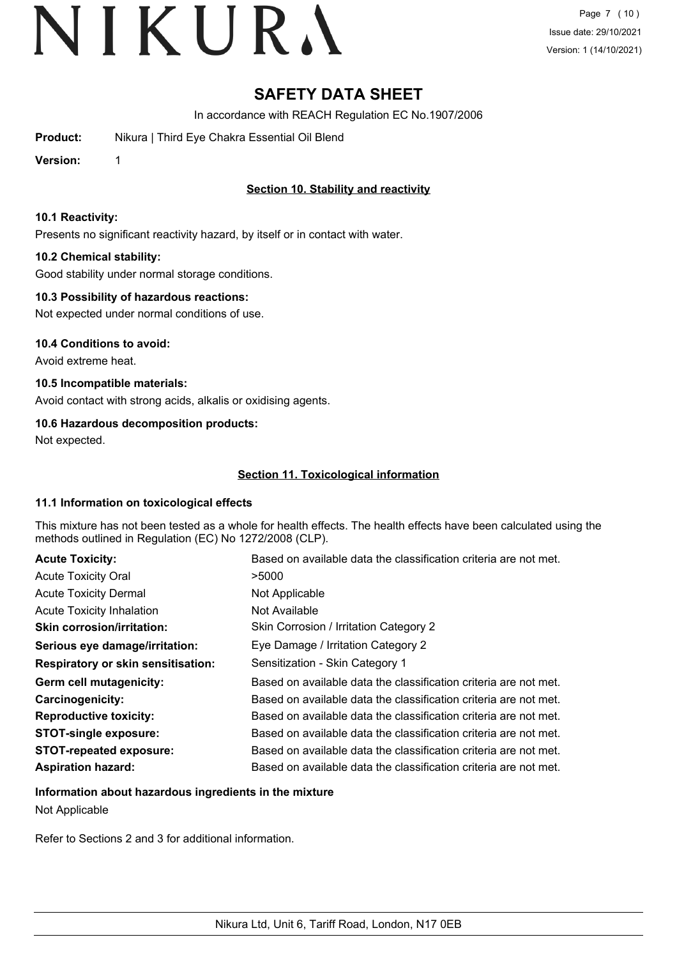Page 7 (10) Issue date: 29/10/2021 Version: 1 (14/10/2021)

# **SAFETY DATA SHEET**

In accordance with REACH Regulation EC No.1907/2006

**Product:** Nikura | Third Eye Chakra Essential Oil Blend

**Version:** 1

## **Section 10. Stability and reactivity**

## **10.1 Reactivity:**

Presents no significant reactivity hazard, by itself or in contact with water.

## **10.2 Chemical stability:**

Good stability under normal storage conditions.

## **10.3 Possibility of hazardous reactions:**

Not expected under normal conditions of use.

**10.4 Conditions to avoid:**

Avoid extreme heat.

**10.5 Incompatible materials:**

Avoid contact with strong acids, alkalis or oxidising agents.

## **10.6 Hazardous decomposition products:**

Not expected.

## **Section 11. Toxicological information**

## **11.1 Information on toxicological effects**

This mixture has not been tested as a whole for health effects. The health effects have been calculated using the methods outlined in Regulation (EC) No 1272/2008 (CLP).

| <b>Acute Toxicity:</b>                    | Based on available data the classification criteria are not met. |
|-------------------------------------------|------------------------------------------------------------------|
| <b>Acute Toxicity Oral</b>                | >5000                                                            |
| <b>Acute Toxicity Dermal</b>              | Not Applicable                                                   |
| <b>Acute Toxicity Inhalation</b>          | Not Available                                                    |
| <b>Skin corrosion/irritation:</b>         | Skin Corrosion / Irritation Category 2                           |
| Serious eye damage/irritation:            | Eye Damage / Irritation Category 2                               |
| <b>Respiratory or skin sensitisation:</b> | Sensitization - Skin Category 1                                  |
| Germ cell mutagenicity:                   | Based on available data the classification criteria are not met. |
| Carcinogenicity:                          | Based on available data the classification criteria are not met. |
| <b>Reproductive toxicity:</b>             | Based on available data the classification criteria are not met. |
| <b>STOT-single exposure:</b>              | Based on available data the classification criteria are not met. |
| <b>STOT-repeated exposure:</b>            | Based on available data the classification criteria are not met. |
| <b>Aspiration hazard:</b>                 | Based on available data the classification criteria are not met. |

## **Information about hazardous ingredients in the mixture**

Not Applicable

Refer to Sections 2 and 3 for additional information.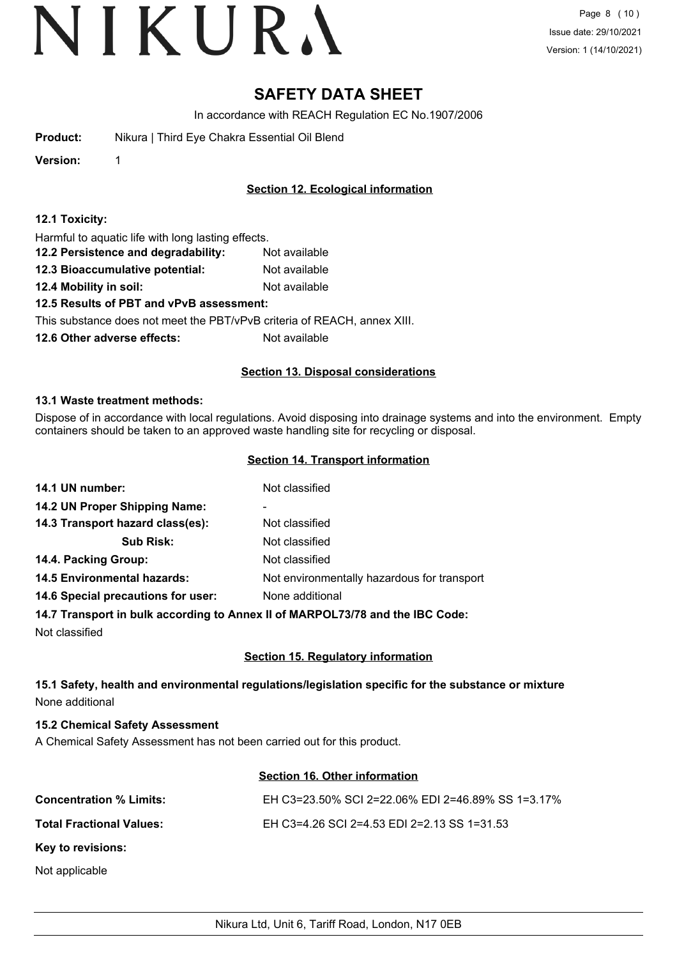Page 8 (10) Issue date: 29/10/2021 Version: 1 (14/10/2021)

## **SAFETY DATA SHEET**

In accordance with REACH Regulation EC No.1907/2006

| Nikura   Third Eye Chakra Essential Oil Blend |
|-----------------------------------------------|
|                                               |

**Version:** 1

## **Section 12. Ecological information**

|  |  |  |  |  |  | 12.1 Toxicity: |
|--|--|--|--|--|--|----------------|
|--|--|--|--|--|--|----------------|

Harmful to aquatic life with long lasting effects.

- **12.2 Persistence and degradability:** Not available
- **12.3 Bioaccumulative potential:** Not available
- **12.4 Mobility in soil:** Not available

## **12.5 Results of PBT and vPvB assessment:**

This substance does not meet the PBT/vPvB criteria of REACH, annex XIII.

**12.6 Other adverse effects:** Not available

## **Section 13. Disposal considerations**

## **13.1 Waste treatment methods:**

Dispose of in accordance with local regulations. Avoid disposing into drainage systems and into the environment. Empty containers should be taken to an approved waste handling site for recycling or disposal.

## **Section 14. Transport information**

| 14.1 UN number:                    | Not classified                              |
|------------------------------------|---------------------------------------------|
| 14.2 UN Proper Shipping Name:      | ۰                                           |
| 14.3 Transport hazard class(es):   | Not classified                              |
| <b>Sub Risk:</b>                   | Not classified                              |
| 14.4. Packing Group:               | Not classified                              |
| <b>14.5 Environmental hazards:</b> | Not environmentally hazardous for transport |
| 14.6 Special precautions for user: | None additional                             |
|                                    |                                             |

## **14.7 Transport in bulk according to Annex II of MARPOL73/78 and the IBC Code:**

Not classified

## **Section 15. Regulatory information**

## **15.1 Safety, health and environmental regulations/legislation specific for the substance or mixture** None additional

## **15.2 Chemical Safety Assessment**

A Chemical Safety Assessment has not been carried out for this product.

## **Section 16. Other information**

| <b>Concentration % Limits:</b>  | EH C3=23.50% SCI 2=22.06% EDI 2=46.89% SS 1=3.17% |
|---------------------------------|---------------------------------------------------|
| <b>Total Fractional Values:</b> | EH C3=4.26 SCI 2=4.53 EDI 2=2.13 SS 1=31.53       |
| Key to revisions:               |                                                   |
| Not applicable                  |                                                   |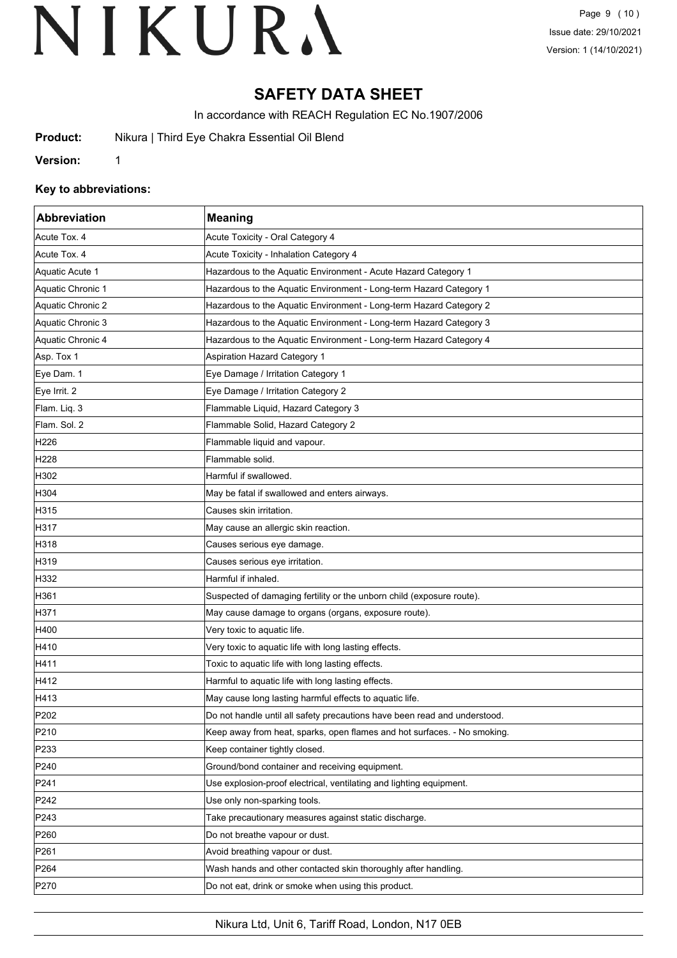# **SAFETY DATA SHEET**

In accordance with REACH Regulation EC No.1907/2006

**Product:** Nikura | Third Eye Chakra Essential Oil Blend

**Version:** 1

## **Key to abbreviations:**

| <b>Abbreviation</b> | <b>Meaning</b>                                                            |
|---------------------|---------------------------------------------------------------------------|
| Acute Tox. 4        | Acute Toxicity - Oral Category 4                                          |
| Acute Tox. 4        | Acute Toxicity - Inhalation Category 4                                    |
| Aquatic Acute 1     | Hazardous to the Aquatic Environment - Acute Hazard Category 1            |
| Aquatic Chronic 1   | Hazardous to the Aquatic Environment - Long-term Hazard Category 1        |
| Aquatic Chronic 2   | Hazardous to the Aquatic Environment - Long-term Hazard Category 2        |
| Aquatic Chronic 3   | Hazardous to the Aquatic Environment - Long-term Hazard Category 3        |
| Aquatic Chronic 4   | Hazardous to the Aquatic Environment - Long-term Hazard Category 4        |
| Asp. Tox 1          | <b>Aspiration Hazard Category 1</b>                                       |
| Eye Dam. 1          | Eye Damage / Irritation Category 1                                        |
| Eye Irrit. 2        | Eye Damage / Irritation Category 2                                        |
| Flam. Liq. 3        | Flammable Liquid, Hazard Category 3                                       |
| Flam. Sol. 2        | Flammable Solid, Hazard Category 2                                        |
| H226                | Flammable liquid and vapour.                                              |
| H <sub>228</sub>    | Flammable solid.                                                          |
| H302                | Harmful if swallowed.                                                     |
| H304                | May be fatal if swallowed and enters airways.                             |
| H315                | Causes skin irritation.                                                   |
| H317                | May cause an allergic skin reaction.                                      |
| H318                | Causes serious eye damage.                                                |
| H319                | Causes serious eye irritation.                                            |
| H332                | Harmful if inhaled.                                                       |
| H361                | Suspected of damaging fertility or the unborn child (exposure route).     |
| H371                | May cause damage to organs (organs, exposure route).                      |
| H400                | Very toxic to aquatic life.                                               |
| H410                | Very toxic to aquatic life with long lasting effects.                     |
| H411                | Toxic to aquatic life with long lasting effects.                          |
| H412                | Harmful to aquatic life with long lasting effects.                        |
| H413                | May cause long lasting harmful effects to aquatic life.                   |
| P202                | Do not handle until all safety precautions have been read and understood. |
| P210                | Keep away from heat, sparks, open flames and hot surfaces. - No smoking.  |
| P233                | Keep container tightly closed.                                            |
| P240                | Ground/bond container and receiving equipment.                            |
| P241                | Use explosion-proof electrical, ventilating and lighting equipment.       |
| P242                | Use only non-sparking tools.                                              |
| P243                | Take precautionary measures against static discharge.                     |
| P260                | Do not breathe vapour or dust.                                            |
| P261                | Avoid breathing vapour or dust.                                           |
| P <sub>264</sub>    | Wash hands and other contacted skin thoroughly after handling.            |
| P270                | Do not eat, drink or smoke when using this product.                       |